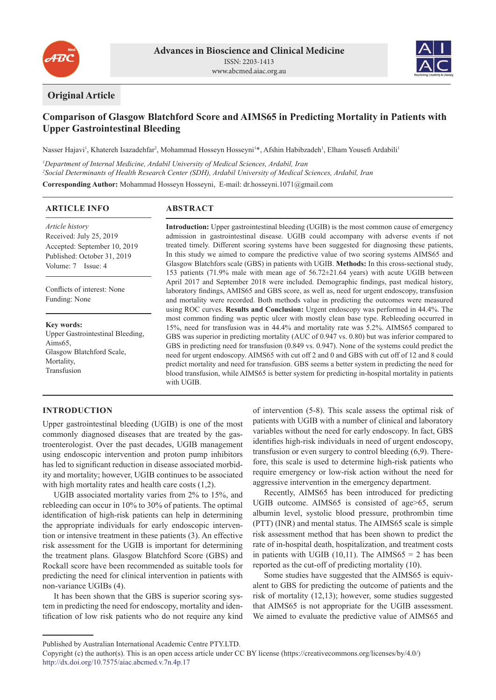



## **Original Article**

# **Comparison of Glasgow Blatchford Score and AIMS65 in Predicting Mortality in Patients with Upper Gastrointestinal Bleeding**

Nasser Hajavi<sup>1</sup>, Khatereh Isazadehfar<sup>2</sup>, Mohammad Hosseyn Hosseyni<sup>1\*</sup>, Afshin Habibzadeh<sup>1</sup>, Elham Yousefi Ardabili<sup>1</sup>

*1 Department of Internal Medicine, Ardabil University of Medical Sciences, Ardabil, Iran 2 Social Determinants of Health Research Center (SDH), Ardabil University of Medical Sciences, Ardabil, Iran*

**Corresponding Author:** Mohammad Hosseyn Hosseyni, E-mail: dr.hosseyni.1071@gmail.com

### **ARTICLE INFO**

*Article history* Received: July 25, 2019 Accepted: September 10, 2019 Published: October 31, 2019 Volume: 7 Issue: 4

Conflicts of interest: None Funding: None

**Key words:** Upper Gastrointestinal Bleeding, Aims65, Glasgow Blatchford Scale, Mortality, Transfusion

## **ABSTRACT**

**Introduction:** Upper gastrointestinal bleeding (UGIB) is the most common cause of emergency admission in gastrointestinal disease. UGIB could accompany with adverse events if not treated timely. Different scoring systems have been suggested for diagnosing these patients, In this study we aimed to compare the predictive value of two scoring systems AIMS65 and Glasgow Blatchfors scale (GBS) in patients with UGIB. **Methods:** In this cross-sectional study, 153 patients (71.9% male with mean age of 56.72±21.64 years) with acute UGIB between April 2017 and September 2018 were included. Demographic findings, past medical history, laboratory findings, AMIS65 and GBS score, as well as, need for urgent endoscopy, transfusion and mortality were recorded. Both methods value in predicting the outcomes were measured using ROC curves. **Results and Conclusion:** Urgent endoscopy was performed in 44.4%. The most common finding was peptic ulcer with mostly clean base type. Rebleeding occurred in 15%, need for transfusion was in 44.4% and mortality rate was 5.2%. AIMS65 compared to GBS was superior in predicting mortality (AUC of 0.947 vs. 0.80) but was inferior compared to GBS in predicting need for transfusion (0.849 vs. 0.947). None of the systems could predict the need for urgent endoscopy. AIMS65 with cut off 2 and 0 and GBS with cut off of 12 and 8 could predict mortality and need for transfusion. GBS seems a better system in predicting the need for blood transfusion, while AIMS65 is better system for predicting in-hospital mortality in patients with UGIB.

## **INTRODUCTION**

Upper gastrointestinal bleeding (UGIB) is one of the most commonly diagnosed diseases that are treated by the gastroenterologist. Over the past decades, UGIB management using endoscopic intervention and proton pump inhibitors has led to significant reduction in disease associated morbidity and mortality; however, UGIB continues to be associated with high mortality rates and health care costs (1,2).

UGIB associated mortality varies from 2% to 15%, and rebleeding can occur in 10% to 30% of patients. The optimal identification of high-risk patients can help in determining the appropriate individuals for early endoscopic intervention or intensive treatment in these patients (3). An effective risk assessment for the UGIB is important for determining the treatment plans. Glasgow Blatchford Score (GBS) and Rockall score have been recommended as suitable tools for predicting the need for clinical intervention in patients with non-variance UGIBs (4).

It has been shown that the GBS is superior scoring system in predicting the need for endoscopy, mortality and identification of low risk patients who do not require any kind of intervention (5-8). This scale assess the optimal risk of patients with UGIB with a number of clinical and laboratory variables without the need for early endoscopy. In fact, GBS identifies high-risk individuals in need of urgent endoscopy, transfusion or even surgery to control bleeding (6,9). Therefore, this scale is used to determine high-risk patients who require emergency or low-risk action without the need for aggressive intervention in the emergency department.

Recently, AIMS65 has been introduced for predicting UGIB outcome. AIMS65 is consisted of age>65, serum albumin level, systolic blood pressure, prothrombin time (PTT) (INR) and mental status. The AIMS65 scale is simple risk assessment method that has been shown to predict the rate of in-hospital death, hospitalization, and treatment costs in patients with UGIB  $(10,11)$ . The AIMS65 = 2 has been reported as the cut-off of predicting mortality (10).

Some studies have suggested that the AIMS65 is equivalent to GBS for predicting the outcome of patients and the risk of mortality (12,13); however, some studies suggested that AIMS65 is not appropriate for the UGIB assessment. We aimed to evaluate the predictive value of AIMS65 and

Published by Australian International Academic Centre PTY.LTD.

Copyright (c) the author(s). This is an open access article under CC BY license (https://creativecommons.org/licenses/by/4.0/) http://dx.doi.org/10.7575/aiac.abcmed.v.7n.4p.17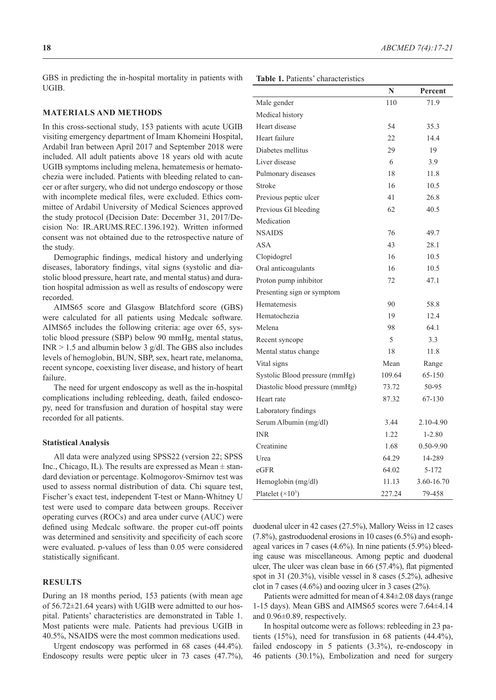GBS in predicting the in-hospital mortality in patients with UGIB.

#### **MATERIALS AND METHODS**

In this cross-sectional study, 153 patients with acute UGIB visiting emergency department of Imam Khomeini Hospital, Ardabil Iran between April 2017 and September 2018 were included. All adult patients above 18 years old with acute UGIB symptoms including melena, hematemesis or hematochezia were included. Patients with bleeding related to cancer or after surgery, who did not undergo endoscopy or those with incomplete medical files, were excluded. Ethics committee of Ardabil University of Medical Sciences approved the study protocol (Decision Date: December 31, 2017/Decision No: IR.ARUMS.REC.1396.192). Written informed consent was not obtained due to the retrospective nature of the study.

Demographic findings, medical history and underlying diseases, laboratory findings, vital signs (systolic and diastolic blood pressure, heart rate, and mental status) and duration hospital admission as well as results of endoscopy were recorded.

AIMS65 score and Glasgow Blatchford score (GBS) were calculated for all patients using Medcalc software. AIMS65 includes the following criteria: age over 65, systolic blood pressure (SBP) below 90 mmHg, mental status, INR > 1.5 and albumin below 3 g/dl. The GBS also includes levels of hemoglobin, BUN, SBP, sex, heart rate, melanoma, recent syncope, coexisting liver disease, and history of heart failure.

The need for urgent endoscopy as well as the in-hospital complications including rebleeding, death, failed endoscopy, need for transfusion and duration of hospital stay were recorded for all patients.

#### **Statistical Analysis**

All data were analyzed using SPSS22 (version 22; SPSS Inc., Chicago, IL). The results are expressed as Mean  $\pm$  standard deviation or percentage. Kolmogorov-Smirnov test was used to assess normal distribution of data. Chi square test, Fischer's exact test, independent T-test or Mann-Whitney U test were used to compare data between groups. Receiver operating curves (ROCs) and area under curve (AUC) were defined using Medcalc software. the proper cut-off points was determined and sensitivity and specificity of each score were evaluated. p*-*values of less than 0.05 were considered statistically significant.

## **RESULTS**

During an 18 months period, 153 patients (with mean age of 56.72±21.64 years) with UGIB were admitted to our hospital. Patients' characteristics are demonstrated in Table 1. Most patients were male. Patients had previous UGIB in 40.5%, NSAIDS were the most common medications used.

Urgent endoscopy was performed in 68 cases (44.4%). Endoscopy results were peptic ulcer in 73 cases (47.7%),

|                                 | N      | Percent    |
|---------------------------------|--------|------------|
| Male gender                     | 110    | 71.9       |
| Medical history                 |        |            |
| Heart disease                   | 54     | 35.3       |
| Heart failure                   | 22     | 14.4       |
| Diabetes mellitus               | 29     | 19         |
| Liver disease                   | 6      | 3.9        |
| Pulmonary diseases              | 18     | 11.8       |
| Stroke                          | 16     | 10.5       |
| Previous peptic ulcer           | 41     | 26.8       |
| Previous GI bleeding            | 62     | 40.5       |
| Medication                      |        |            |
| <b>NSAIDS</b>                   | 76     | 49.7       |
| <b>ASA</b>                      | 43     | 28.1       |
| Clopidogrel                     | 16     | 10.5       |
| Oral anticoagulants             | 16     | 10.5       |
| Proton pump inhibitor           | 72     | 47.1       |
| Presenting sign or symptom      |        |            |
| Hematemesis                     | 90     | 58.8       |
| Hematochezia                    | 19     | 12.4       |
| Melena                          | 98     | 64.1       |
| Recent syncope                  | 5      | 3.3        |
| Mental status change            | 18     | 11.8       |
| Vital signs                     | Mean   | Range      |
| Systolic Blood pressure (mmHg)  | 109.64 | 65-150     |
| Diastolic blood pressure (mmHg) | 73.72  | 50-95      |
| Heart rate                      | 87.32  | 67-130     |
| Laboratory findings             |        |            |
| Serum Albumin (mg/dl)           | 3.44   | 2.10-4.90  |
| <b>INR</b>                      | 1.22   | $1 - 2.80$ |
| Creatinine                      | 1.68   | 0.50-9.90  |
| Urea                            | 64.29  | 14-289     |
| eGFR                            | 64.02  | $5 - 172$  |
| Hemoglobin (mg/dl)              | 11.13  | 3.60-16.70 |
| Platelet $(\times 10^3)$        | 227.24 | 79-458     |

duodenal ulcer in 42 cases (27.5%), Mallory Weiss in 12 cases (7.8%), gastroduodenal erosions in 10 cases (6.5%) and esophageal varices in 7 cases (4.6%). In nine patients (5.9%) bleeding cause was miscellaneous. Among peptic and duodenal ulcer, The ulcer was clean base in 66 (57.4%), flat pigmented spot in 31 (20.3%), visible vessel in 8 cases (5.2%), adhesive clot in 7 cases (4.6%) and oozing ulcer in 3 cases (2%).

Patients were admitted for mean of 4.84±2.08 days (range 1-15 days). Mean GBS and AIMS65 scores were 7.64±4.14 and 0.96±0.89, respectively.

In hospital outcome were as follows: rebleeding in 23 patients (15%), need for transfusion in 68 patients (44.4%), failed endoscopy in 5 patients (3.3%), re-endoscopy in 46 patients (30.1%), Embolization and need for surgery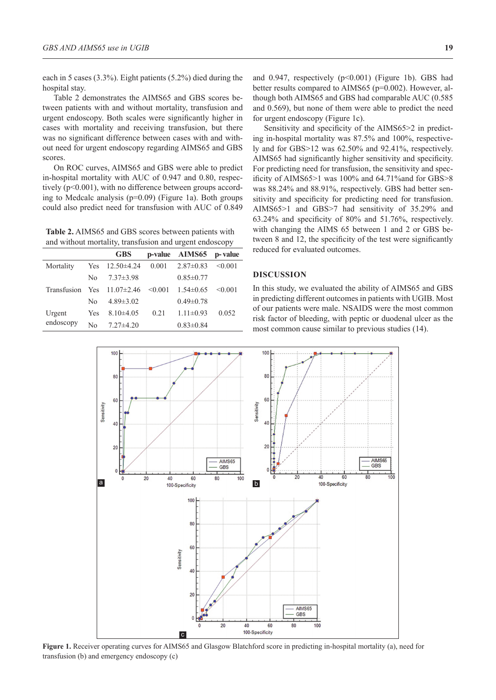each in 5 cases (3.3%). Eight patients (5.2%) died during the hospital stay.

Table 2 demonstrates the AIMS65 and GBS scores between patients with and without mortality, transfusion and urgent endoscopy. Both scales were significantly higher in cases with mortality and receiving transfusion, but there was no significant difference between cases with and without need for urgent endoscopy regarding AIMS65 and GBS scores.

On ROC curves, AIMS65 and GBS were able to predict in-hospital mortality with AUC of 0.947 and 0.80, respectively (p<0.001), with no difference between groups according to Medcalc analysis (p=0.09) (Figure 1a). Both groups could also predict need for transfusion with AUC of 0.849

**Table 2.** AIMS65 and GBS scores between patients with and without mortality, transfusion and urgent endoscopy

|             |            | <b>GBS</b>         |         | p-value AIMS65  | p-value      |
|-------------|------------|--------------------|---------|-----------------|--------------|
| Mortality   | Yes        | $12.50\pm4.24$     | 0.001   | $2.87\pm0.83$   | $\leq 0.001$ |
|             | Nο         | $7.37\pm3.98$      |         | $0.85 \pm 0.77$ |              |
| Transfusion |            | Yes $11.07\pm2.46$ | < 0.001 | $1.54\pm0.65$   | < 0.001      |
|             | No         | $4.89 \pm 3.02$    |         | $0.49 \pm 0.78$ |              |
| Urgent      | <b>Yes</b> | $8.10\pm4.05$      | 0.21    | $1.11 \pm 0.93$ | 0.052        |
| endoscopy   | No         | $7.27\pm4.20$      |         | $0.83 \pm 0.84$ |              |

and 0.947, respectively  $(p<0.001)$  (Figure 1b). GBS had better results compared to AIMS65 (p=0.002). However, although both AIMS65 and GBS had comparable AUC (0.585 and 0.569), but none of them were able to predict the need for urgent endoscopy (Figure 1c).

Sensitivity and specificity of the AIMS65>2 in predicting in-hospital mortality was 87.5% and 100%, respectively and for GBS>12 was 62.50% and 92.41%, respectively. AIMS65 had significantly higher sensitivity and specificity. For predicting need for transfusion, the sensitivity and specificity of AIMS65>1 was 100% and 64.71%and for GBS>8 was 88.24% and 88.91%, respectively. GBS had better sensitivity and specificity for predicting need for transfusion. AIMS65>1 and GBS>7 had sensitivity of 35.29% and 63.24% and specificity of 80% and 51.76%, respectively. with changing the AIMS 65 between 1 and 2 or GBS between 8 and 12, the specificity of the test were significantly reduced for evaluated outcomes.

## **DISCUSSION**

In this study, we evaluated the ability of AIMS65 and GBS in predicting different outcomes in patients with UGIB. Most of our patients were male. NSAIDS were the most common risk factor of bleeding, with peptic or duodenal ulcer as the most common cause similar to previous studies (14).



**Figure 1.** Receiver operating curves for AIMS65 and Glasgow Blatchford score in predicting in-hospital mortality (a), need for transfusion (b) and emergency endoscopy (c)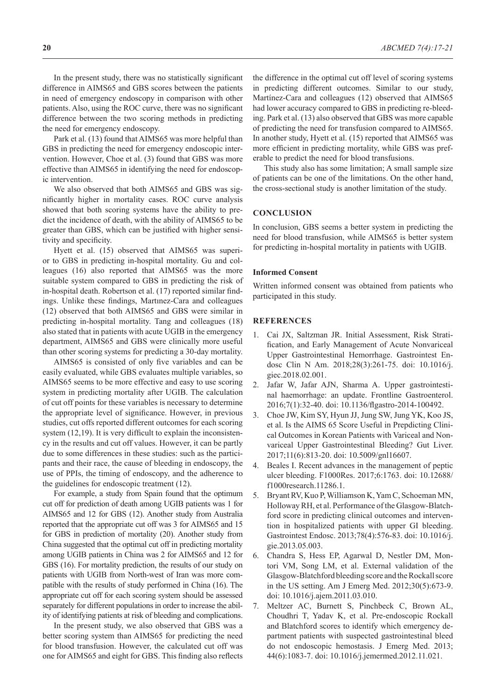In the present study, there was no statistically significant difference in AIMS65 and GBS scores between the patients in need of emergency endoscopy in comparison with other patients. Also, using the ROC curve, there was no significant difference between the two scoring methods in predicting the need for emergency endoscopy.

Park et al. (13) found that AIMS65 was more helpful than GBS in predicting the need for emergency endoscopic intervention. However, Choe et al. (3) found that GBS was more effective than AIMS65 in identifying the need for endoscopic intervention.

We also observed that both AIMS65 and GBS was significantly higher in mortality cases. ROC curve analysis showed that both scoring systems have the ability to predict the incidence of death, with the ability of AIMS65 to be greater than GBS, which can be justified with higher sensitivity and specificity.

Hyett et al. (15) observed that AIMS65 was superior to GBS in predicting in-hospital mortality. Gu and colleagues (16) also reported that AIMS65 was the more suitable system compared to GBS in predicting the risk of in-hospital death. Robertson et al. (17) reported similar findings. Unlike these findings, Martınez-Cara and colleagues (12) observed that both AIMS65 and GBS were similar in predicting in-hospital mortality. Tang and colleagues (18) also stated that in patients with acute UGIB in the emergency department, AIMS65 and GBS were clinically more useful than other scoring systems for predicting a 30-day mortality.

AIMS65 is consisted of only five variables and can be easily evaluated, while GBS evaluates multiple variables, so AIMS65 seems to be more effective and easy to use scoring system in predicting mortality after UGIB. The calculation of cut off points for these variables is necessary to determine the appropriate level of significance. However, in previous studies, cut offs reported different outcomes for each scoring system  $(12,19)$ . It is very difficult to explain the inconsistency in the results and cut off values. However, it can be partly due to some differences in these studies: such as the participants and their race, the cause of bleeding in endoscopy, the use of PPIs, the timing of endoscopy, and the adherence to the guidelines for endoscopic treatment (12).

For example, a study from Spain found that the optimum cut off for prediction of death among UGIB patients was 1 for AIMS65 and 12 for GBS (12). Another study from Australia reported that the appropriate cut off was 3 for AIMS65 and 15 for GBS in prediction of mortality (20). Another study from China suggested that the optimal cut off in predicting mortality among UGIB patients in China was 2 for AIMS65 and 12 for GBS (16). For mortality prediction, the results of our study on patients with UGIB from North-west of Iran was more compatible with the results of study performed in China (16). The appropriate cut off for each scoring system should be assessed separately for different populations in order to increase the ability of identifying patients at risk of bleeding and complications.

In the present study, we also observed that GBS was a better scoring system than AIMS65 for predicting the need for blood transfusion. However, the calculated cut off was one for AIMS65 and eight for GBS. This finding also reflects the difference in the optimal cut off level of scoring systems in predicting different outcomes. Similar to our study, Martínez-Cara and colleagues (12) observed that AIMS65 had lower accuracy compared to GBS in predicting re-bleeding. Park et al. (13) also observed that GBS was more capable of predicting the need for transfusion compared to AIMS65. In another study, Hyett et al. (15) reported that AIMS65 was more efficient in predicting mortality, while GBS was preferable to predict the need for blood transfusions.

This study also has some limitation; A small sample size of patients can be one of the limitations. On the other hand, the cross-sectional study is another limitation of the study.

## **CONCLUSION**

In conclusion, GBS seems a better system in predicting the need for blood transfusion, while AIMS65 is better system for predicting in-hospital mortality in patients with UGIB.

### **Informed Consent**

Written informed consent was obtained from patients who participated in this study.

## **REFERENCES**

- 1. Cai JX, Saltzman JR. Initial Assessment, Risk Stratification, and Early Management of Acute Nonvariceal Upper Gastrointestinal Hemorrhage. Gastrointest Endosc Clin N Am. 2018;28(3):261-75. doi: 10.1016/j. giec.2018.02.001.
- 2. Jafar W, Jafar AJN, Sharma A. Upper gastrointestinal haemorrhage: an update. Frontline Gastroenterol. 2016;7(1):32-40. doi: 10.1136/flgastro-2014-100492.
- 3. Choe JW, Kim SY, Hyun JJ, Jung SW, Jung YK, Koo JS, et al. Is the AIMS 65 Score Useful in Prepdicting Clinical Outcomes in Korean Patients with Variceal and Nonvariceal Upper Gastrointestinal Bleeding? Gut Liver. 2017;11(6):813-20. doi: 10.5009/gnl16607.
- 4. Beales I. Recent advances in the management of peptic ulcer bleeding. F1000Res. 2017;6:1763. doi: 10.12688/ f1000research.11286.1.
- 5. Bryant RV, Kuo P, Williamson K, Yam C, Schoeman MN, Holloway RH, et al. Performance of the Glasgow-Blatchford score in predicting clinical outcomes and intervention in hospitalized patients with upper GI bleeding. Gastrointest Endosc. 2013;78(4):576-83. doi: 10.1016/j. gie.2013.05.003.
- 6. Chandra S, Hess EP, Agarwal D, Nestler DM, Montori VM, Song LM, et al. External validation of the Glasgow-Blatchford bleeding score and the Rockall score in the US setting. Am J Emerg Med. 2012;30(5):673-9. doi: 10.1016/j.ajem.2011.03.010.
- 7. Meltzer AC, Burnett S, Pinchbeck C, Brown AL, Choudhri T, Yadav K, et al. Pre-endoscopic Rockall and Blatchford scores to identify which emergency department patients with suspected gastrointestinal bleed do not endoscopic hemostasis. J Emerg Med. 2013; 44(6):1083-7. doi: 10.1016/j.jemermed.2012.11.021.